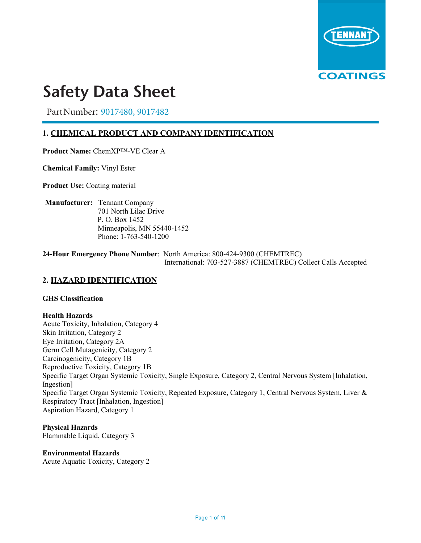

# **Safety Data Sheet SDS #: Rev. # 2 Rev. Date: 9/15/17**

Part Number: 9017480, 9017482

# **1. CHEMICAL PRODUCT AND COMPANY IDENTIFICATION**

**Product Name:** ChemXP™-VE Clear A

**Chemical Family:** Vinyl Ester

**Product Use: Coating material** 

**Manufacturer:** Tennant Company 701 North Lilac Drive P. O. Box 1452 Minneapolis, MN 55440-1452 Phone: 1-763-540-1200

**24-Hour Emergency Phone Number**: North America: 800-424-9300 (CHEMTREC) International: 703-527-3887 (CHEMTREC) Collect Calls Accepted

# **2. HAZARD IDENTIFICATION**

### **GHS Classification**

#### **Health Hazards**

Acute Toxicity, Inhalation, Category 4 Skin Irritation, Category 2 Eye Irritation, Category 2A Germ Cell Mutagenicity, Category 2 Carcinogenicity, Category 1B Reproductive Toxicity, Category 1B Specific Target Organ Systemic Toxicity, Single Exposure, Category 2, Central Nervous System [Inhalation, Ingestion] Specific Target Organ Systemic Toxicity, Repeated Exposure, Category 1, Central Nervous System, Liver & Respiratory Tract [Inhalation, Ingestion] Aspiration Hazard, Category 1

**Physical Hazards** Flammable Liquid, Category 3

**Environmental Hazards**

Acute Aquatic Toxicity, Category 2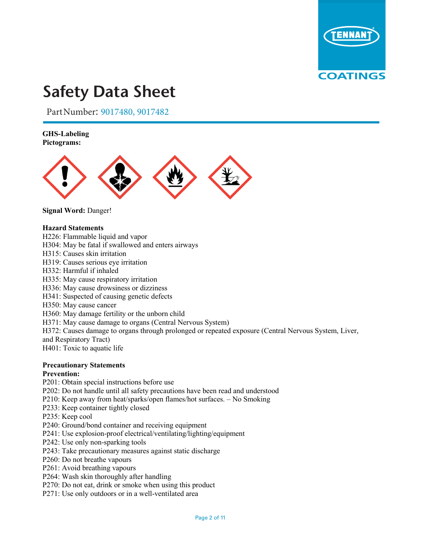

Part Number: 9017480, 9017482

### **GHS-Labeling Pictograms:**



**Signal Word:** Danger!

### **Hazard Statements**

- H226: Flammable liquid and vapor
- H304: May be fatal if swallowed and enters airways
- H315: Causes skin irritation
- H319: Causes serious eye irritation
- H332: Harmful if inhaled
- H335: May cause respiratory irritation
- H336: May cause drowsiness or dizziness
- H341: Suspected of causing genetic defects
- H350: May cause cancer
- H360: May damage fertility or the unborn child
- H371: May cause damage to organs (Central Nervous System)
- H372: Causes damage to organs through prolonged or repeated exposure (Central Nervous System, Liver,
- and Respiratory Tract)

H401: Toxic to aquatic life

### **Precautionary Statements**

#### **Prevention:**

- P201: Obtain special instructions before use
- P202: Do not handle until all safety precautions have been read and understood
- P210: Keep away from heat/sparks/open flames/hot surfaces. No Smoking
- P233: Keep container tightly closed
- P235: Keep cool
- P240: Ground/bond container and receiving equipment
- P241: Use explosion-proof electrical/ventilating/lighting/equipment
- P242: Use only non-sparking tools
- P243: Take precautionary measures against static discharge
- P260: Do not breathe vapours
- P261: Avoid breathing vapours
- P264: Wash skin thoroughly after handling
- P270: Do not eat, drink or smoke when using this product
- P271: Use only outdoors or in a well-ventilated area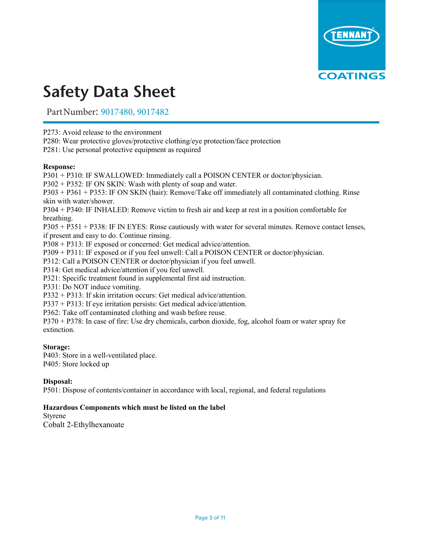

Part Number: 9017480, 9017482

P273: Avoid release to the environment

P280: Wear protective gloves/protective clothing/eye protection/face protection

P281: Use personal protective equipment as required

### **Response:**

P301 + P310: IF SWALLOWED: Immediately call a POISON CENTER or doctor/physician. P302 + P352: IF ON SKIN: Wash with plenty of soap and water. P303 + P361 + P353: IF ON SKIN (hair): Remove/Take off immediately all contaminated clothing. Rinse skin with water/shower. P304 + P340: IF INHALED: Remove victim to fresh air and keep at rest in a position comfortable for breathing. P305 + P351 + P338: IF IN EYES: Rinse cautiously with water for several minutes. Remove contact lenses, if present and easy to do. Continue rinsing. P308 + P313: IF exposed or concerned: Get medical advice/attention. P309 + P311: IF exposed or if you feel unwell: Call a POISON CENTER or doctor/physician. P312: Call a POISON CENTER or doctor/physician if you feel unwell. P314: Get medical advice/attention if you feel unwell. P321: Specific treatment found in supplemental first aid instruction. P331: Do NOT induce vomiting. P332 + P313: If skin irritation occurs: Get medical advice/attention. P337 + P313: If eye irritation persists: Get medical advice/attention. P362: Take off contaminated clothing and wash before reuse. P370 + P378: In case of fire: Use dry chemicals, carbon dioxide, fog, alcohol foam or water spray for

### **Storage:**

extinction.

P403: Store in a well-ventilated place. P405: Store locked up

# **Disposal:**

P501: Dispose of contents/container in accordance with local, regional, and federal regulations

### **Hazardous Components which must be listed on the label**

Styrene

Cobalt 2-Ethylhexanoate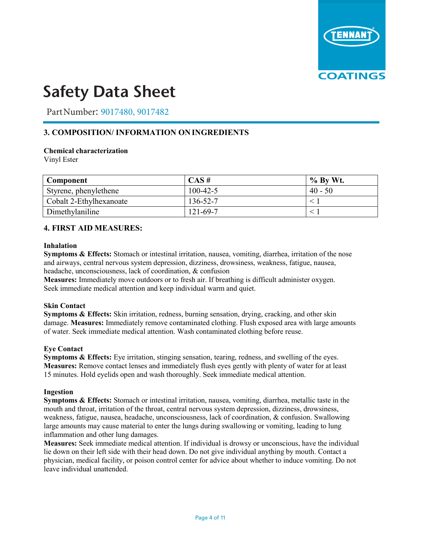

Part Number: 9017480, 9017482

# **3. COMPOSITION/ INFORMATION ON INGREDIENTS**

### **Chemical characterization**

Vinyl Ester

| Component               | $CAS \#$       | $%$ By Wt. |
|-------------------------|----------------|------------|
| Styrene, phenylethene   | $100 - 42 - 5$ | $40 - 50$  |
| Cobalt 2-Ethylhexanoate | 136-52-7       |            |
| Dimethylaniline         | 121-69-7       |            |

### **4. FIRST AID MEASURES:**

#### **Inhalation**

**Symptoms & Effects:** Stomach or intestinal irritation, nausea, vomiting, diarrhea, irritation of the nose and airways, central nervous system depression, dizziness, drowsiness, weakness, fatigue, nausea, headache, unconsciousness, lack of coordination, & confusion

**Measures:** Immediately move outdoors or to fresh air. If breathing is difficult administer oxygen. Seek immediate medical attention and keep individual warm and quiet.

### **Skin Contact**

**Symptoms & Effects:** Skin irritation, redness, burning sensation, drying, cracking, and other skin damage. **Measures:** Immediately remove contaminated clothing. Flush exposed area with large amounts of water. Seek immediate medical attention. Wash contaminated clothing before reuse.

#### **Eye Contact**

**Symptoms & Effects:** Eye irritation, stinging sensation, tearing, redness, and swelling of the eyes. **Measures:** Remove contact lenses and immediately flush eyes gently with plenty of water for at least 15 minutes. Hold eyelids open and wash thoroughly. Seek immediate medical attention.

#### **Ingestion**

**Symptoms & Effects:** Stomach or intestinal irritation, nausea, vomiting, diarrhea, metallic taste in the mouth and throat, irritation of the throat, central nervous system depression, dizziness, drowsiness, weakness, fatigue, nausea, headache, unconsciousness, lack of coordination, & confusion. Swallowing large amounts may cause material to enter the lungs during swallowing or vomiting, leading to lung inflammation and other lung damages.

**Measures:** Seek immediate medical attention. If individual is drowsy or unconscious, have the individual lie down on their left side with their head down. Do not give individual anything by mouth. Contact a physician, medical facility, or poison control center for advice about whether to induce vomiting. Do not leave individual unattended.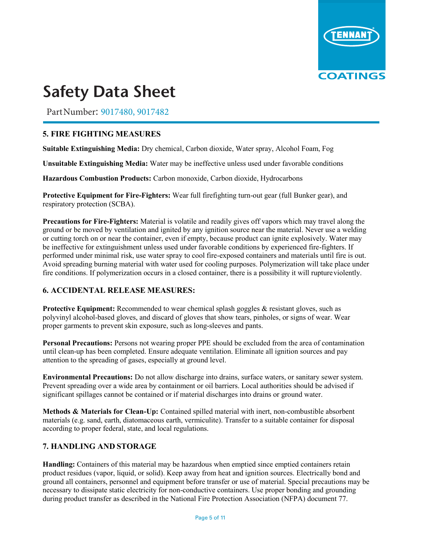

Part Number: 9017480, 9017482

# **5. FIRE FIGHTING MEASURES**

**Suitable Extinguishing Media:** Dry chemical, Carbon dioxide, Water spray, Alcohol Foam, Fog

**Unsuitable Extinguishing Media:** Water may be ineffective unless used under favorable conditions

**Hazardous Combustion Products:** Carbon monoxide, Carbon dioxide, Hydrocarbons

**Protective Equipment for Fire-Fighters:** Wear full firefighting turn-out gear (full Bunker gear), and respiratory protection (SCBA).

**Precautions for Fire-Fighters:** Material is volatile and readily gives off vapors which may travel along the ground or be moved by ventilation and ignited by any ignition source near the material. Never use a welding or cutting torch on or near the container, even if empty, because product can ignite explosively. Water may be ineffective for extinguishment unless used under favorable conditions by experienced fire-fighters. If performed under minimal risk, use water spray to cool fire-exposed containers and materials until fire is out. Avoid spreading burning material with water used for cooling purposes. Polymerization will take place under fire conditions. If polymerization occurs in a closed container, there is a possibility it will rupture violently.

# **6. ACCIDENTAL RELEASE MEASURES:**

**Protective Equipment:** Recommended to wear chemical splash goggles & resistant gloves, such as polyvinyl alcohol-based gloves, and discard of gloves that show tears, pinholes, or signs of wear. Wear proper garments to prevent skin exposure, such as long-sleeves and pants.

**Personal Precautions:** Persons not wearing proper PPE should be excluded from the area of contamination until clean-up has been completed. Ensure adequate ventilation. Eliminate all ignition sources and pay attention to the spreading of gases, especially at ground level.

**Environmental Precautions:** Do not allow discharge into drains, surface waters, or sanitary sewer system. Prevent spreading over a wide area by containment or oil barriers. Local authorities should be advised if significant spillages cannot be contained or if material discharges into drains or ground water.

**Methods & Materials for Clean-Up:** Contained spilled material with inert, non-combustible absorbent materials (e.g. sand, earth, diatomaceous earth, vermiculite). Transfer to a suitable container for disposal according to proper federal, state, and local regulations.

# **7. HANDLING AND STORAGE**

**Handling:** Containers of this material may be hazardous when emptied since emptied containers retain product residues (vapor, liquid, or solid). Keep away from heat and ignition sources. Electrically bond and ground all containers, personnel and equipment before transfer or use of material. Special precautions may be necessary to dissipate static electricity for non-conductive containers. Use proper bonding and grounding during product transfer as described in the National Fire Protection Association (NFPA) document 77.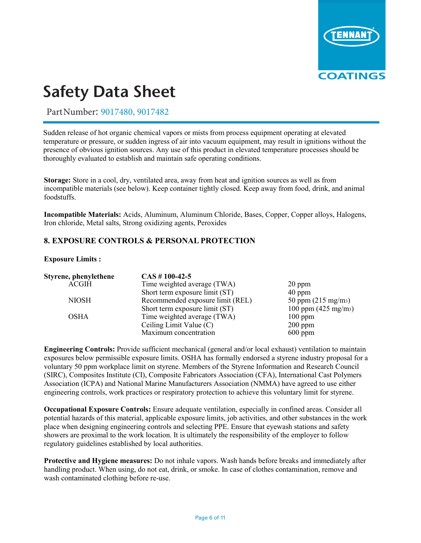

Part Number: 9017480, 9017482 **SOBSET ALLINUISED.** 2017 100, 2017 102

Sudden release of hot organic chemical vapors or mists from process equipment operating at elevated temperature or pressure, or sudden ingress of air into vacuum equipment, may result in ignitions without the presence of obvious ignition sources. Any use of this product in elevated temperature processes should be thoroughly evaluated to establish and maintain safe operating conditions.

**Storage:** Store in a cool, dry, ventilated area, away from heat and ignition sources as well as from incompatible materials (see below). Keep container tightly closed. Keep away from food, drink, and animal foodstuffs.

**Incompatible Materials:** Acids, Aluminum, Aluminum Chloride, Bases, Copper, Copper alloys, Halogens, Iron chloride, Metal salts, Strong oxidizing agents, Peroxides

# **8. EXPOSURE CONTROLS & PERSONAL PROTECTION**

### **Exposure Limits :**

| Styrene, phenylethene | $CAS \# 100-42-5$                |                                |
|-----------------------|----------------------------------|--------------------------------|
| ACGIH                 | Time weighted average (TWA)      | $20$ ppm                       |
|                       | Short term exposure limit (ST)   | $40$ ppm                       |
| <b>NIOSH</b>          | Recommended exposure limit (REL) | 50 ppm $(215 \text{ mg/m}^3)$  |
|                       | Short term exposure limit (ST)   | 100 ppm $(425 \text{ mg/m}^3)$ |
| <b>OSHA</b>           | Time weighted average (TWA)      | $100$ ppm                      |
|                       | Ceiling Limit Value (C)          | $200$ ppm                      |
|                       | Maximum concentration            | $600$ ppm                      |

**Engineering Controls:** Provide sufficient mechanical (general and/or local exhaust) ventilation to maintain exposures below permissible exposure limits. OSHA has formally endorsed a styrene industry proposal for a voluntary 50 ppm workplace limit on styrene. Members of the Styrene Information and Research Council (SIRC), Composites Institute (CI), Composite Fabricators Association (CFA), International Cast Polymers Association (ICPA) and National Marine Manufacturers Association (NMMA) have agreed to use either engineering controls, work practices or respiratory protection to achieve this voluntary limit for styrene.

**Occupational Exposure Controls:** Ensure adequate ventilation, especially in confined areas. Consider all potential hazards of this material, applicable exposure limits, job activities, and other substances in the work place when designing engineering controls and selecting PPE. Ensure that eyewash stations and safety showers are proximal to the work location. It is ultimately the responsibility of the employer to follow regulatory guidelines established by local authorities.

**Protective and Hygiene measures:** Do not inhale vapors. Wash hands before breaks and immediately after handling product. When using, do not eat, drink, or smoke. In case of clothes contamination, remove and wash contaminated clothing before re-use.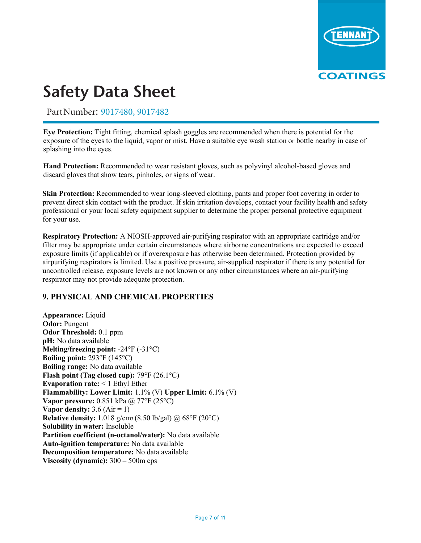

Part Number: 9017480, 9017482

**Eye Protection:** Tight fitting, chemical splash goggles are recommended when there is potential for the exposure of the eyes to the liquid, vapor or mist. Have a suitable eye wash station or bottle nearby in case of splashing into the eyes.

**Hand Protection:** Recommended to wear resistant gloves, such as polyvinyl alcohol-based gloves and discard gloves that show tears, pinholes, or signs of wear.

**Skin Protection:** Recommended to wear long-sleeved clothing, pants and proper foot covering in order to prevent direct skin contact with the product. If skin irritation develops, contact your facility health and safety professional or your local safety equipment supplier to determine the proper personal protective equipment for your use.

**Respiratory Protection:** A NIOSH-approved air-purifying respirator with an appropriate cartridge and/or filter may be appropriate under certain circumstances where airborne concentrations are expected to exceed exposure limits (if applicable) or if overexposure has otherwise been determined. Protection provided by airpurifying respirators is limited. Use a positive pressure, air-supplied respirator if there is any potential for uncontrolled release, exposure levels are not known or any other circumstances where an air-purifying respirator may not provide adequate protection.

# **9. PHYSICAL AND CHEMICAL PROPERTIES**

**Appearance:** Liquid **Odor:** Pungent **Odor Threshold:** 0.1 ppm **pH:** No data available **Melting/freezing point:** -24°F (-31°C) **Boiling point:** 293°F (145°C) **Boiling range:** No data available **Flash point (Tag closed cup):** 79°F (26.1°C) **Evaporation rate:** < 1 Ethyl Ether **Flammability: Lower Limit:** 1.1% (V) **Upper Limit:** 6.1% (V) **Vapor pressure:** 0.851 kPa @ 77°F (25°C) **Vapor density:**  $3.6$  (Air = 1) **Relative density:** 1.018 g/cm3 (8.50 lb/gal) @ 68°F (20°C) **Solubility in water:** Insoluble **Partition coefficient (n-octanol/water):** No data available **Auto-ignition temperature:** No data available **Decomposition temperature:** No data available **Viscosity (dynamic):** 300 – 500m cps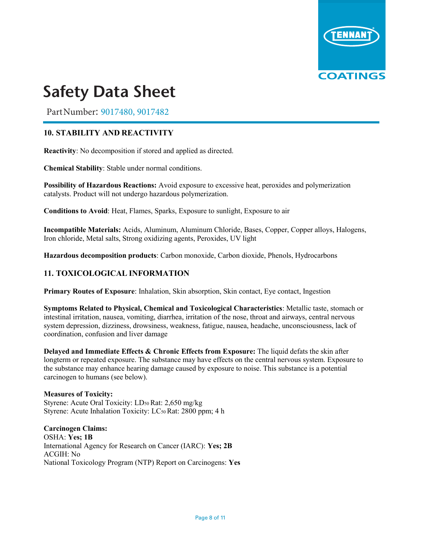

Part Number: 9017480, 9017482

# **10. STABILITY AND REACTIVITY**

**Reactivity**: No decomposition if stored and applied as directed.

**Chemical Stability**: Stable under normal conditions.

**Possibility of Hazardous Reactions:** Avoid exposure to excessive heat, peroxides and polymerization catalysts. Product will not undergo hazardous polymerization.

**Conditions to Avoid**: Heat, Flames, Sparks, Exposure to sunlight, Exposure to air

**Incompatible Materials:** Acids, Aluminum, Aluminum Chloride, Bases, Copper, Copper alloys, Halogens, Iron chloride, Metal salts, Strong oxidizing agents, Peroxides, UV light

**Hazardous decomposition products**: Carbon monoxide, Carbon dioxide, Phenols, Hydrocarbons

# **11. TOXICOLOGICAL INFORMATION**

**Primary Routes of Exposure**: Inhalation, Skin absorption, Skin contact, Eye contact, Ingestion

**Symptoms Related to Physical, Chemical and Toxicological Characteristics**: Metallic taste, stomach or intestinal irritation, nausea, vomiting, diarrhea, irritation of the nose, throat and airways, central nervous system depression, dizziness, drowsiness, weakness, fatigue, nausea, headache, unconsciousness, lack of coordination, confusion and liver damage

**Delayed and Immediate Effects & Chronic Effects from Exposure:** The liquid defats the skin after longterm or repeated exposure. The substance may have effects on the central nervous system. Exposure to the substance may enhance hearing damage caused by exposure to noise. This substance is a potential carcinogen to humans (see below).

**Measures of Toxicity:**  Styrene: Acute Oral Toxicity: LD50 Rat: 2,650 mg/kg Styrene: Acute Inhalation Toxicity: LC50 Rat: 2800 ppm; 4 h

**Carcinogen Claims:**  OSHA: **Yes; 1B** International Agency for Research on Cancer (IARC): **Yes; 2B** ACGIH: No National Toxicology Program (NTP) Report on Carcinogens: **Yes**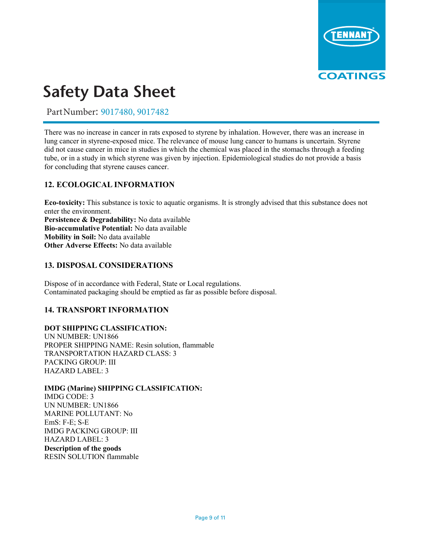

Part Number: 9017480, 9017482

There was no increase in cancer in rats exposed to styrene by inhalation. However, there was an increase in lung cancer in styrene-exposed mice. The relevance of mouse lung cancer to humans is uncertain. Styrene did not cause cancer in mice in studies in which the chemical was placed in the stomachs through a feeding tube, or in a study in which styrene was given by injection. Epidemiological studies do not provide a basis for concluding that styrene causes cancer.

# **12. ECOLOGICAL INFORMATION**

**Eco-toxicity:** This substance is toxic to aquatic organisms. It is strongly advised that this substance does not enter the environment. **Persistence & Degradability:** No data available **Bio-accumulative Potential:** No data available **Mobility in Soil:** No data available **Other Adverse Effects:** No data available

# **13. DISPOSAL CONSIDERATIONS**

Dispose of in accordance with Federal, State or Local regulations. Contaminated packaging should be emptied as far as possible before disposal.

# **14. TRANSPORT INFORMATION**

### **DOT SHIPPING CLASSIFICATION:**

UN NUMBER: UN1866 PROPER SHIPPING NAME: Resin solution, flammable TRANSPORTATION HAZARD CLASS: 3 PACKING GROUP: III HAZARD LABEL: 3

# **IMDG (Marine) SHIPPING CLASSIFICATION:**

IMDG CODE: 3 UN NUMBER: UN1866 MARINE POLLUTANT: No EmS: F-E; S-E IMDG PACKING GROUP: III HAZARD LABEL: 3

**Description of the goods**  RESIN SOLUTION flammable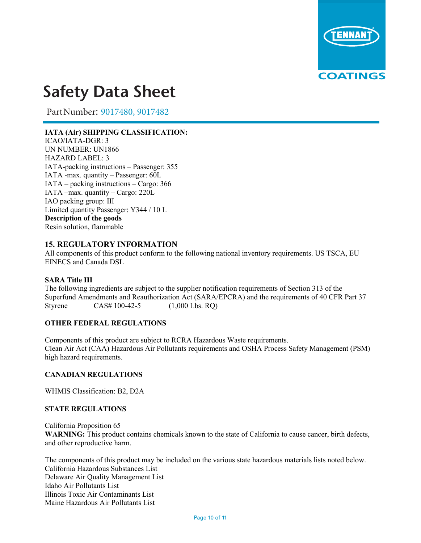

Part Number: 9017480, 9017482

# **IATA (Air) SHIPPING CLASSIFICATION:**

ICAO/IATA-DGR: 3 UN NUMBER: UN1866 HAZARD LABEL: 3 IATA-packing instructions – Passenger: 355 IATA -max. quantity – Passenger: 60L IATA – packing instructions – Cargo: 366 IATA –max. quantity – Cargo: 220L IAO packing group: III Limited quantity Passenger: Y344 / 10 L **Description of the goods**  Resin solution, flammable

# **15. REGULATORY INFORMATION**

All components of this product conform to the following national inventory requirements. US TSCA, EU EINECS and Canada DSL

### **SARA Title III**

The following ingredients are subject to the supplier notification requirements of Section 313 of the Superfund Amendments and Reauthorization Act (SARA/EPCRA) and the requirements of 40 CFR Part 37 Styrene CAS# 100-42-5 (1,000 Lbs. RO)

### **OTHER FEDERAL REGULATIONS**

Components of this product are subject to RCRA Hazardous Waste requirements. Clean Air Act (CAA) Hazardous Air Pollutants requirements and OSHA Process Safety Management (PSM) high hazard requirements.

### **CANADIAN REGULATIONS**

WHMIS Classification: B2, D2A

### **STATE REGULATIONS**

California Proposition 65 **WARNING:** This product contains chemicals known to the state of California to cause cancer, birth defects, and other reproductive harm.

The components of this product may be included on the various state hazardous materials lists noted below. California Hazardous Substances List Delaware Air Quality Management List Idaho Air Pollutants List Illinois Toxic Air Contaminants List Maine Hazardous Air Pollutants List